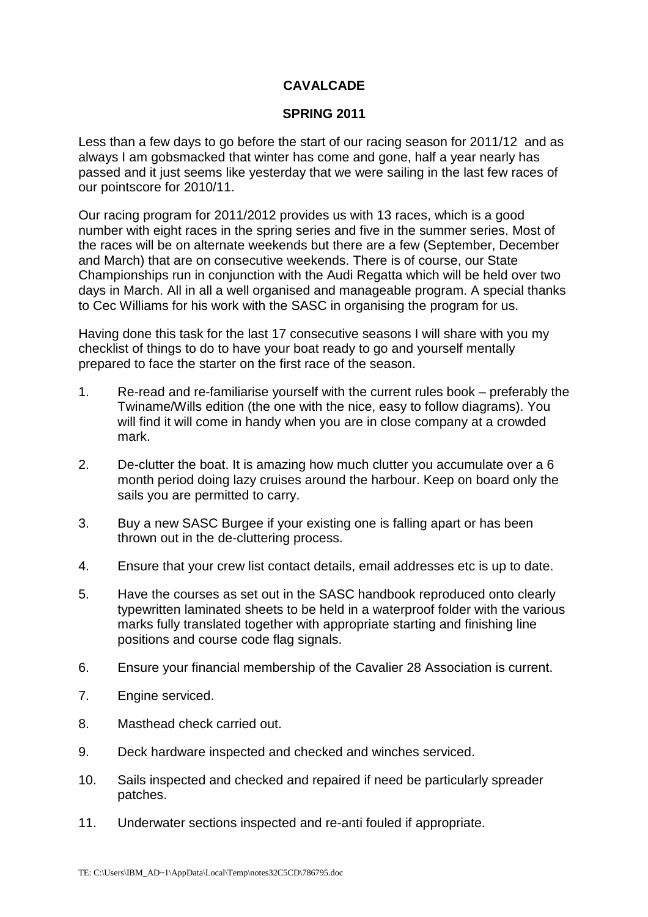## **CAVALCADE**

## **SPRING 2011**

Less than a few days to go before the start of our racing season for 2011/12 and as always I am gobsmacked that winter has come and gone, half a year nearly has passed and it just seems like yesterday that we were sailing in the last few races of our pointscore for 2010/11.

Our racing program for 2011/2012 provides us with 13 races, which is a good number with eight races in the spring series and five in the summer series. Most of the races will be on alternate weekends but there are a few (September, December and March) that are on consecutive weekends. There is of course, our State Championships run in conjunction with the Audi Regatta which will be held over two days in March. All in all a well organised and manageable program. A special thanks to Cec Williams for his work with the SASC in organising the program for us.

Having done this task for the last 17 consecutive seasons I will share with you my checklist of things to do to have your boat ready to go and yourself mentally prepared to face the starter on the first race of the season.

- 1. Re-read and re-familiarise yourself with the current rules book preferably the Twiname/Wills edition (the one with the nice, easy to follow diagrams). You will find it will come in handy when you are in close company at a crowded mark.
- 2. De-clutter the boat. It is amazing how much clutter you accumulate over a 6 month period doing lazy cruises around the harbour. Keep on board only the sails you are permitted to carry.
- 3. Buy a new SASC Burgee if your existing one is falling apart or has been thrown out in the de-cluttering process.
- 4. Ensure that your crew list contact details, email addresses etc is up to date.
- 5. Have the courses as set out in the SASC handbook reproduced onto clearly typewritten laminated sheets to be held in a waterproof folder with the various marks fully translated together with appropriate starting and finishing line positions and course code flag signals.
- 6. Ensure your financial membership of the Cavalier 28 Association is current.
- 7. Engine serviced.
- 8. Masthead check carried out.
- 9. Deck hardware inspected and checked and winches serviced.
- 10. Sails inspected and checked and repaired if need be particularly spreader patches.
- 11. Underwater sections inspected and re-anti fouled if appropriate.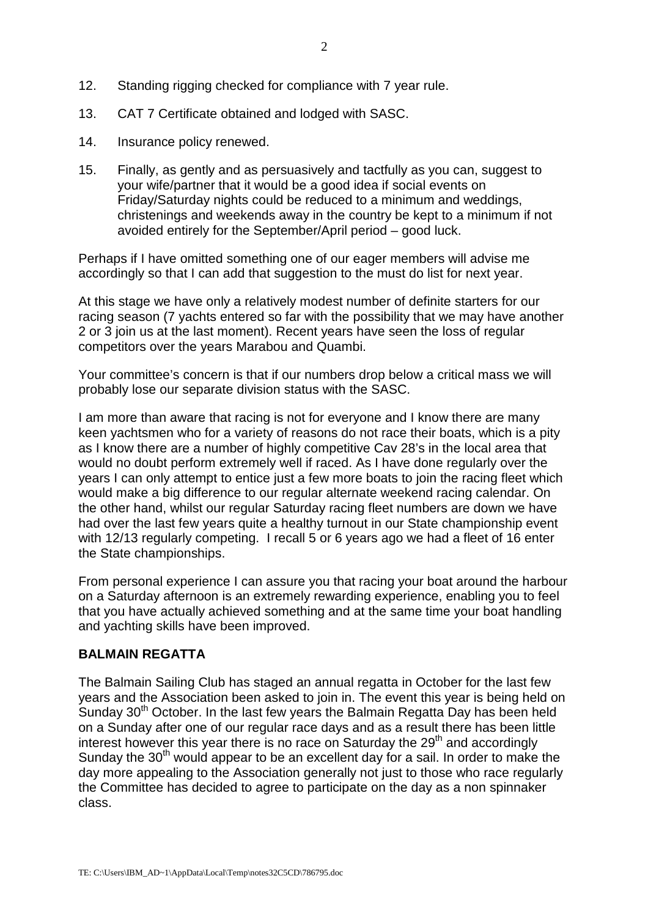- 12. Standing rigging checked for compliance with 7 year rule.
- 13. CAT 7 Certificate obtained and lodged with SASC.
- 14. Insurance policy renewed.
- 15. Finally, as gently and as persuasively and tactfully as you can, suggest to your wife/partner that it would be a good idea if social events on Friday/Saturday nights could be reduced to a minimum and weddings, christenings and weekends away in the country be kept to a minimum if not avoided entirely for the September/April period – good luck.

Perhaps if I have omitted something one of our eager members will advise me accordingly so that I can add that suggestion to the must do list for next year.

At this stage we have only a relatively modest number of definite starters for our racing season (7 yachts entered so far with the possibility that we may have another 2 or 3 join us at the last moment). Recent years have seen the loss of regular competitors over the years Marabou and Quambi.

Your committee's concern is that if our numbers drop below a critical mass we will probably lose our separate division status with the SASC.

I am more than aware that racing is not for everyone and I know there are many keen yachtsmen who for a variety of reasons do not race their boats, which is a pity as I know there are a number of highly competitive Cav 28's in the local area that would no doubt perform extremely well if raced. As I have done regularly over the years I can only attempt to entice just a few more boats to join the racing fleet which would make a big difference to our regular alternate weekend racing calendar. On the other hand, whilst our regular Saturday racing fleet numbers are down we have had over the last few years quite a healthy turnout in our State championship event with 12/13 regularly competing. I recall 5 or 6 years ago we had a fleet of 16 enter the State championships.

From personal experience I can assure you that racing your boat around the harbour on a Saturday afternoon is an extremely rewarding experience, enabling you to feel that you have actually achieved something and at the same time your boat handling and yachting skills have been improved.

## **BALMAIN REGATTA**

The Balmain Sailing Club has staged an annual regatta in October for the last few years and the Association been asked to join in. The event this year is being held on Sunday 30<sup>th</sup> October. In the last few years the Balmain Regatta Day has been held on a Sunday after one of our regular race days and as a result there has been little interest however this year there is no race on Saturday the  $29<sup>th</sup>$  and accordingly Sunday the  $30<sup>th</sup>$  would appear to be an excellent day for a sail. In order to make the day more appealing to the Association generally not just to those who race regularly the Committee has decided to agree to participate on the day as a non spinnaker class.